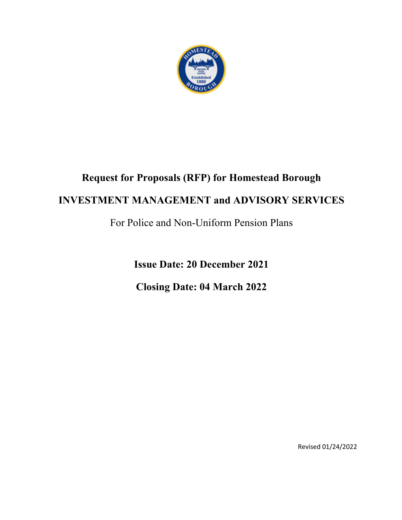

# **Request for Proposals (RFP) for Homestead Borough INVESTMENT MANAGEMENT and ADVISORY SERVICES**

For Police and Non-Uniform Pension Plans

**Issue Date: 20 December 2021 Closing Date: 04 March 2022**

Revised 01/24/2022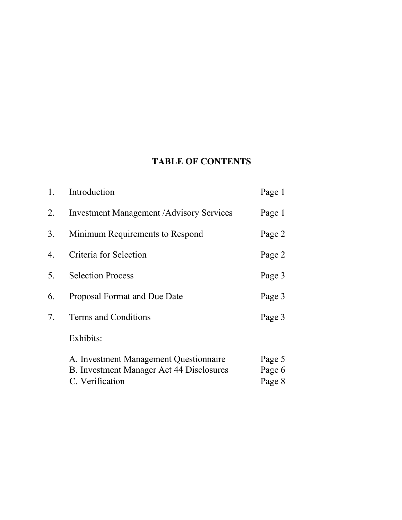# **TABLE OF CONTENTS**

| 1. | Introduction                                     | Page 1 |
|----|--------------------------------------------------|--------|
| 2. | <b>Investment Management / Advisory Services</b> | Page 1 |
| 3. | Minimum Requirements to Respond                  | Page 2 |
| 4. | Criteria for Selection                           | Page 2 |
| 5. | <b>Selection Process</b>                         | Page 3 |
| 6. | Proposal Format and Due Date                     | Page 3 |
| 7. | Terms and Conditions                             | Page 3 |
|    | Exhibits:                                        |        |
|    | A. Investment Management Questionnaire           | Page 5 |
|    | B. Investment Manager Act 44 Disclosures         | Page 6 |
|    | C. Verification                                  | Page 8 |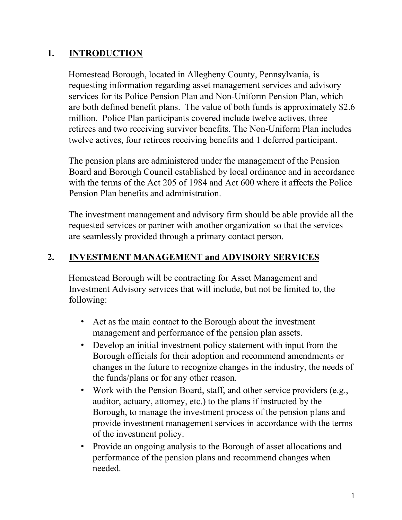#### **1. INTRODUCTION**

Homestead Borough, located in Allegheny County, Pennsylvania, is requesting information regarding asset management services and advisory services for its Police Pension Plan and Non-Uniform Pension Plan, which are both defined benefit plans. The value of both funds is approximately \$2.6 million. Police Plan participants covered include twelve actives, three retirees and two receiving survivor benefits. The Non-Uniform Plan includes twelve actives, four retirees receiving benefits and 1 deferred participant.

The pension plans are administered under the management of the Pension Board and Borough Council established by local ordinance and in accordance with the terms of the Act 205 of 1984 and Act 600 where it affects the Police Pension Plan benefits and administration.

The investment management and advisory firm should be able provide all the requested services or partner with another organization so that the services are seamlessly provided through a primary contact person.

### **2. INVESTMENT MANAGEMENT and ADVISORY SERVICES**

Homestead Borough will be contracting for Asset Management and Investment Advisory services that will include, but not be limited to, the following:

- Act as the main contact to the Borough about the investment management and performance of the pension plan assets.
- Develop an initial investment policy statement with input from the Borough officials for their adoption and recommend amendments or changes in the future to recognize changes in the industry, the needs of the funds/plans or for any other reason.
- Work with the Pension Board, staff, and other service providers (e.g., auditor, actuary, attorney, etc.) to the plans if instructed by the Borough, to manage the investment process of the pension plans and provide investment management services in accordance with the terms of the investment policy.
- Provide an ongoing analysis to the Borough of asset allocations and performance of the pension plans and recommend changes when needed.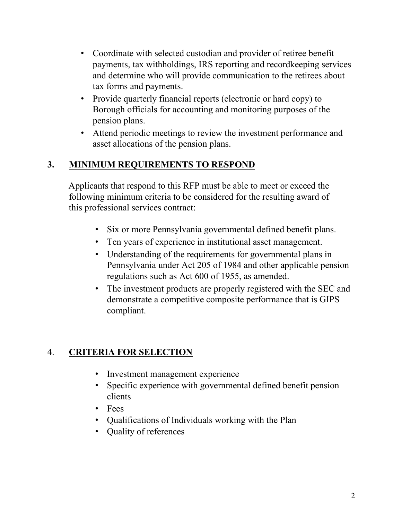- Coordinate with selected custodian and provider of retiree benefit payments, tax withholdings, IRS reporting and recordkeeping services and determine who will provide communication to the retirees about tax forms and payments.
- Provide quarterly financial reports (electronic or hard copy) to Borough officials for accounting and monitoring purposes of the pension plans.
- Attend periodic meetings to review the investment performance and asset allocations of the pension plans.

# **3. MINIMUM REQUIREMENTS TO RESPOND**

Applicants that respond to this RFP must be able to meet or exceed the following minimum criteria to be considered for the resulting award of this professional services contract:

- Six or more Pennsylvania governmental defined benefit plans.
- Ten years of experience in institutional asset management.
- Understanding of the requirements for governmental plans in Pennsylvania under Act 205 of 1984 and other applicable pension regulations such as Act 600 of 1955, as amended.
- The investment products are properly registered with the SEC and demonstrate a competitive composite performance that is GIPS compliant.

# 4. **CRITERIA FOR SELECTION**

- Investment management experience
- Specific experience with governmental defined benefit pension clients
- Fees
- Qualifications of Individuals working with the Plan
- Quality of references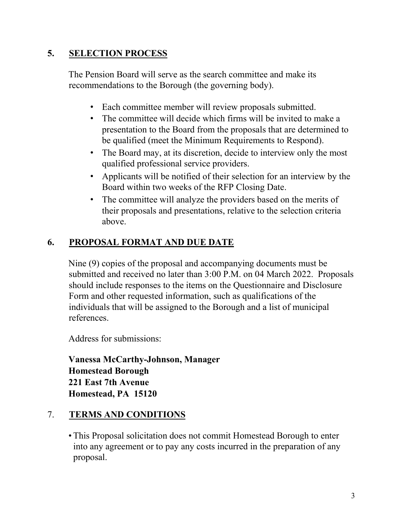## **5. SELECTION PROCESS**

The Pension Board will serve as the search committee and make its recommendations to the Borough (the governing body).

- Each committee member will review proposals submitted.
- The committee will decide which firms will be invited to make a presentation to the Board from the proposals that are determined to be qualified (meet the Minimum Requirements to Respond).
- The Board may, at its discretion, decide to interview only the most qualified professional service providers.
- Applicants will be notified of their selection for an interview by the Board within two weeks of the RFP Closing Date.
- The committee will analyze the providers based on the merits of their proposals and presentations, relative to the selection criteria above.

# **6. PROPOSAL FORMAT AND DUE DATE**

Nine (9) copies of the proposal and accompanying documents must be submitted and received no later than 3:00 P.M. on 04 March 2022. Proposals should include responses to the items on the Questionnaire and Disclosure Form and other requested information, such as qualifications of the individuals that will be assigned to the Borough and a list of municipal references.

Address for submissions:

**Vanessa McCarthy-Johnson, Manager Homestead Borough 221 East 7th Avenue Homestead, PA 15120**

## 7. **TERMS AND CONDITIONS**

• This Proposal solicitation does not commit Homestead Borough to enter into any agreement or to pay any costs incurred in the preparation of any proposal.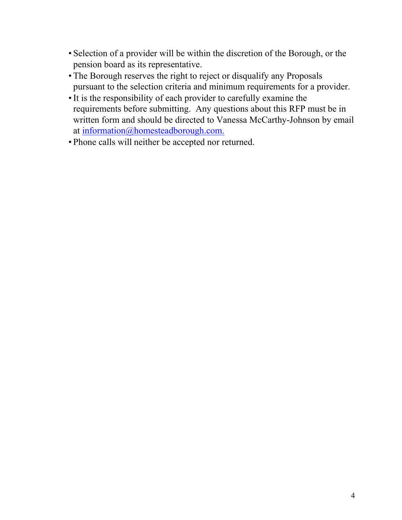- Selection of a provider will be within the discretion of the Borough, or the pension board as its representative.
- The Borough reserves the right to reject or disqualify any Proposals pursuant to the selection criteria and minimum requirements for a provider.
- •It is the responsibility of each provider to carefully examine the requirements before submitting. Any questions about this RFP must be in written form and should be directed to Vanessa McCarthy-Johnson by email at information@homesteadborough.com.
- Phone calls will neither be accepted nor returned.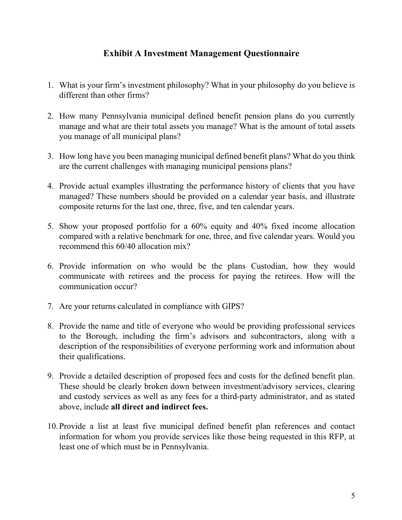#### **Exhibit A Investment Management Questionnaire**

- 1. What is your firm's investment philosophy? What in your philosophy do you believe is different than other firms?
- 2. How many Pennsylvania municipal defined benefit pension plans do you currently manage and what are their total assets you manage? What is the amount of total assets you manage of all municipal plans?
- 3. How long have you been managing municipal defined benefit plans? What do you think are the current challenges with managing municipal pensions plans?
- 4. Provide actual examples illustrating the performance history of clients that you have managed? These numbers should be provided on a calendar year basis, and illustrate composite returns for the last one, three, five, and ten calendar years.
- 5. Show your proposed portfolio for a 60% equity and 40% fixed income allocation compared with a relative benchmark for one, three, and five calendar years. Would you recommend this 60/40 allocation mix?
- 6. Provide information on who would be the plans Custodian, how they would communicate with retirees and the process for paying the retirees. How will the communication occur?
- 7. Are your returns calculated in compliance with GIPS?
- 8. Provide the name and title of everyone who would be providing professional services to the Borough, including the firm's advisors and subcontractors, along with a description of the responsibilities of everyone performing work and information about their qualifications.
- 9. Provide a detailed description of proposed fees and costs for the defined benefit plan. These should be clearly broken down between investment/advisory services, clearing and custody services as well as any fees for a third-party administrator, and as stated above, include **all direct and indirect fees.**
- 10. Provide a list at least five municipal defined benefit plan references and contact information for whom you provide services like those being requested in this RFP, at least one of which must be in Pennsylvania.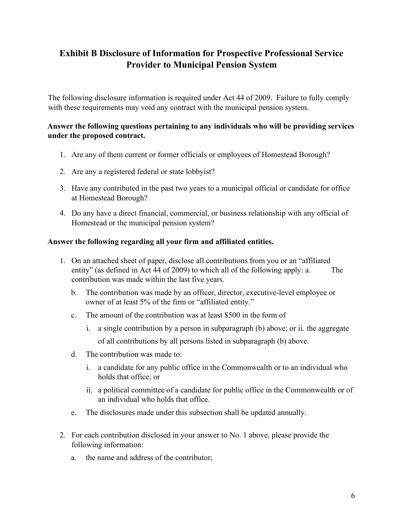## **Exhibit B Disclosure of Information for Prospective Professional Service Provider to Municipal Pension System**

The following disclosure information is required under Act 44 of 2009. Failure to fully comply with these requirements may void any contract with the municipal pension system.

#### **Answer the following questions pertaining to any individuals who will be providing services under the proposed contract.**

- 1. Are any of them current or former officials or employees of Homestead Borough?
- 2. Are any a registered federal or state lobbyist?
- 3. Have any contributed in the past two years to a municipal official or candidate for office at Homestead Borough?
- 4. Do any have a direct financial, commercial, or business relationship with any official of Homestead or the municipal pension system?

#### **Answer the following regarding all your firm and affiliated entities.**

- 1. On an attached sheet of paper, disclose all contributions from you or an "affiliated entity" (as defined in Act 44 of 2009) to which all of the following apply: a. The contribution was made within the last five years.
	- b. The contribution was made by an officer, director, executive-level employee or owner of at least 5% of the firm or "affiliated entity."
	- c. The amount of the contribution was at least \$500 in the form of
		- i. a single contribution by a person in subparagraph (b) above; or ii. the aggregate of all contributions by all persons listed in subparagraph (b) above.
	- d. The contribution was made to:
		- i. a candidate for any public office in the Commonwealth or to an individual who holds that office; or
		- ii. a political committee of a candidate for public office in the Commonwealth or of an individual who holds that office.
	- e. The disclosures made under this subsection shall be updated annually.
- 2. For each contribution disclosed in your answer to No. 1 above, please provide the following information:
	- a. the name and address of the contributor;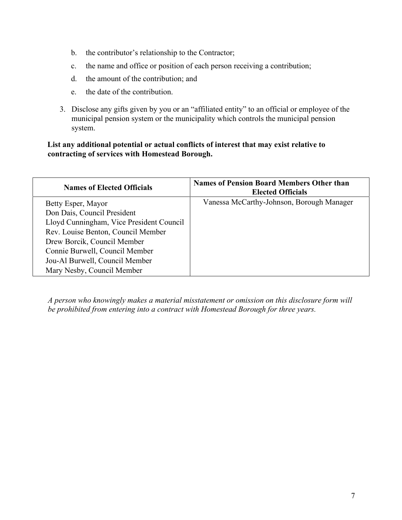- b. the contributor's relationship to the Contractor;
- c. the name and office or position of each person receiving a contribution;
- d. the amount of the contribution; and
- e. the date of the contribution.
- 3. Disclose any gifts given by you or an "affiliated entity" to an official or employee of the municipal pension system or the municipality which controls the municipal pension system.

#### **List any additional potential or actual conflicts of interest that may exist relative to contracting of services with Homestead Borough.**

| <b>Names of Elected Officials</b>        | <b>Names of Pension Board Members Other than</b><br><b>Elected Officials</b> |
|------------------------------------------|------------------------------------------------------------------------------|
| Betty Esper, Mayor                       | Vanessa McCarthy-Johnson, Borough Manager                                    |
| Don Dais, Council President              |                                                                              |
| Lloyd Cunningham, Vice President Council |                                                                              |
| Rev. Louise Benton, Council Member       |                                                                              |
| Drew Borcik, Council Member              |                                                                              |
| Connie Burwell, Council Member           |                                                                              |
| Jou-Al Burwell, Council Member           |                                                                              |
| Mary Nesby, Council Member               |                                                                              |

*A person who knowingly makes a material misstatement or omission on this disclosure form will be prohibited from entering into a contract with Homestead Borough for three years.*